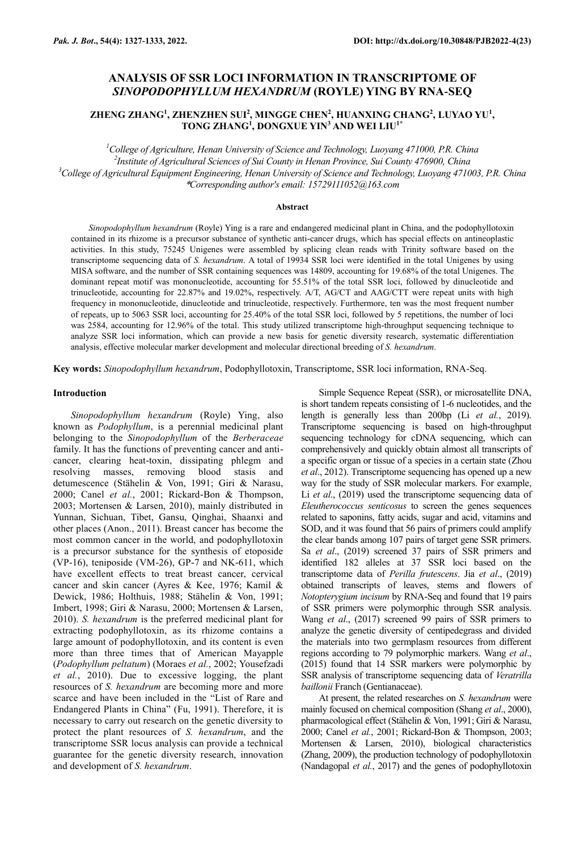# **ANALYSIS OF SSR LOCI INFORMATION IN TRANSCRIPTOME OF**  *SINOPODOPHYLLUM HEXANDRUM* **(ROYLE) YING BY RNA-SEQ**

# **ZHENG ZHANG<sup>1</sup> , ZHENZHEN SUI<sup>2</sup> , MINGGE CHEN<sup>2</sup> , HUANXING CHANG<sup>2</sup> , LUYAO YU<sup>1</sup> , TONG ZHANG<sup>1</sup> , DONGXUE YIN<sup>3</sup> AND WEI LIU1\***

*College of Agriculture, Henan University of Science and Technology, Luoyang 471000, P.R. China Institute of Agricultural Sciences of Sui County in Henan Province, Sui County 476900, China College of Agricultural Equipment Engineering, Henan University of Science and Technology, Luoyang 471003, P.R. China* \**Corresponding author's email: 15729111052@163.com*

### **Abstract**

*Sinopodophyllum hexandrum* (Royle) Ying is a rare and endangered medicinal plant in China, and the podophyllotoxin contained in its rhizome is a precursor substance of synthetic anti-cancer drugs, which has special effects on antineoplastic activities. In this study, 75245 Unigenes were assembled by splicing clean reads with Trinity software based on the transcriptome sequencing data of *S. hexandrum*. A total of 19934 SSR loci were identified in the total Unigenes by using MISA software, and the number of SSR containing sequences was 14809, accounting for 19.68% of the total Unigenes. The dominant repeat motif was mononucleotide, accounting for 55.51% of the total SSR loci, followed by dinucleotide and trinucleotide, accounting for 22.87% and 19.02%, respectively. A/T, AG/CT and AAG/CTT were repeat units with high frequency in mononucleotide, dinucleotide and trinucleotide, respectively. Furthermore, ten was the most frequent number of repeats, up to 5063 SSR loci, accounting for 25.40% of the total SSR loci, followed by 5 repetitions, the number of loci was 2584, accounting for 12.96% of the total. This study utilized transcriptome high-throughput sequencing technique to analyze SSR loci information, which can provide a new basis for genetic diversity research, systematic differentiation analysis, effective molecular marker development and molecular directional breeding of *S. hexandrum*.

**Key words:** *Sinopodophyllum hexandrum*, Podophyllotoxin, Transcriptome, SSR loci information, RNA-Seq.

### **Introduction**

*Sinopodophyllum hexandrum* (Royle) Ying, also known as *Podophyllum*, is a perennial medicinal plant belonging to the *Sinopodophyllum* of the *Berberaceae* family. It has the functions of preventing cancer and anticancer, clearing heat-toxin, dissipating phlegm and resolving masses, removing blood stasis and detumescence (Stähelin & Von, 1991; Giri & Narasu, 2000; Canel *et al.*, 2001; Rickard-Bon & Thompson, 2003; Mortensen & Larsen, 2010), mainly distributed in Yunnan, Sichuan, Tibet, Gansu, Qinghai, Shaanxi and other places (Anon., 2011). Breast cancer has become the most common cancer in the world, and podophyllotoxin is a precursor substance for the synthesis of etoposide (VP-16), teniposide (VM-26), GP-7 and NK-611, which have excellent effects to treat breast cancer, cervical cancer and skin cancer (Ayres & Kee, 1976; Kamil & Dewick, 1986; Holthuis, 1988; Stähelin & Von, 1991; Imbert, 1998; Giri & Narasu, 2000; Mortensen & Larsen, 2010). *S. hexandrum* is the preferred medicinal plant for extracting podophyllotoxin, as its rhizome contains a large amount of podophyllotoxin, and its content is even more than three times that of American Mayapple (*Podophyllum peltatum*) (Moraes *et al.*, 2002; Yousefzadi *et al.*, 2010). Due to excessive logging, the plant resources of *S. hexandrum* are becoming more and more scarce and have been included in the "List of Rare and Endangered Plants in China" (Fu, 1991). Therefore, it is necessary to carry out research on the genetic diversity to protect the plant resources of *S. hexandrum*, and the transcriptome SSR locus analysis can provide a technical guarantee for the genetic diversity research, innovation and development of *S. hexandrum*.

Simple Sequence Repeat (SSR), or microsatellite DNA, is short tandem repeats consisting of 1-6 nucleotides, and the length is generally less than 200bp (Li *et al.*, 2019). Transcriptome sequencing is based on high-throughput sequencing technology for cDNA sequencing, which can comprehensively and quickly obtain almost all transcripts of a specific organ or tissue of a species in a certain state (Zhou *et al*., 2012). Transcriptome sequencing has opened up a new way for the study of SSR molecular markers. For example, Li *et al.*, (2019) used the transcriptome sequencing data of *Eleutherococcus senticosus* to screen the genes sequences related to saponins, fatty acids, sugar and acid, vitamins and SOD, and it was found that 56 pairs of primers could amplify the clear bands among 107 pairs of target gene SSR primers. Sa *et al*., (2019) screened 37 pairs of SSR primers and identified 182 alleles at 37 SSR loci based on the transcriptome data of *Perilla frutescens*. Jia *et al*., (2019) obtained transcripts of leaves, stems and flowers of *Notopterygium incisum* by RNA-Seq and found that 19 pairs of SSR primers were polymorphic through SSR analysis. Wang *et al*., (2017) screened 99 pairs of SSR primers to analyze the genetic diversity of centipedegrass and divided the materials into two germplasm resources from different regions according to 79 polymorphic markers. Wang *et al*., (2015) found that 14 SSR markers were polymorphic by SSR analysis of transcriptome sequencing data of *Veratrilla baillonii* Franch (Gentianaceae).

At present, the related researches on *S. hexandrum* were mainly focused on chemical composition (Shang *et al*., 2000), pharmacological effect (Stähelin & Von, 1991; Giri & Narasu, 2000; Canel *et al.*, 2001; Rickard-Bon & Thompson, 2003; Mortensen & Larsen, 2010), biological characteristics (Zhang, 2009), the production technology of podophyllotoxin (Nandagopal *et al.*, 2017) and the genes of podophyllotoxin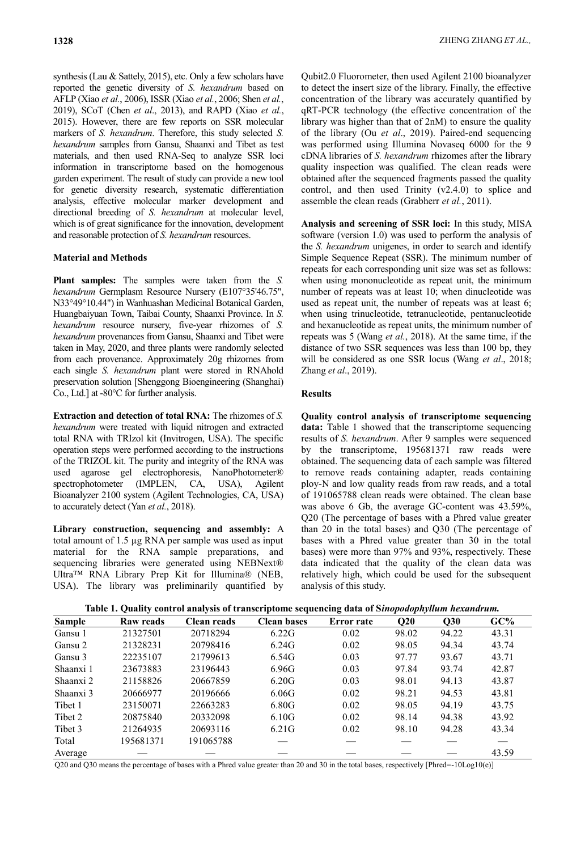synthesis (Lau & Sattely, 2015), etc. Only a few scholars have reported the genetic diversity of *S. hexandrum* based on AFLP (Xiao *et al.*, 2006), ISSR (Xiao *et al.*, 2006; Shen *et al.*, 2019), SCoT (Chen *et al*., 2013), and RAPD (Xiao *et al.*, 2015). However, there are few reports on SSR molecular markers of *S. hexandrum*. Therefore, this study selected *S. hexandrum* samples from Gansu, Shaanxi and Tibet as test materials, and then used RNA-Seq to analyze SSR loci information in transcriptome based on the homogenous garden experiment. The result of study can provide a new tool for genetic diversity research, systematic differentiation analysis, effective molecular marker development and directional breeding of *S. hexandrum* at molecular level, which is of great significance for the innovation, development and reasonable protection of *S. hexandrum* resources.

# **Material and Methods**

**Plant samples:** The samples were taken from the *S. hexandrum* Germplasm Resource Nursery (E107°35'46.75", N33°49°10.44") in Wanhuashan Medicinal Botanical Garden, Huangbaiyuan Town, Taibai County, Shaanxi Province. In *S. hexandrum* resource nursery, five-year rhizomes of *S. hexandrum* provenances from Gansu, Shaanxi and Tibet were taken in May, 2020, and three plants were randomly selected from each provenance. Approximately 20g rhizomes from each single *S. hexandrum* plant were stored in RNAhold preservation solution [Shenggong Bioengineering (Shanghai) Co., Ltd.] at -80℃ for further analysis.

**Extraction and detection of total RNA:** The rhizomes of *S. hexandrum* were treated with liquid nitrogen and extracted total RNA with TRIzol kit (Invitrogen, USA). The specific operation steps were performed according to the instructions of the TRIZOL kit. The purity and integrity of the RNA was used agarose gel electrophoresis, NanoPhotometer® spectrophotometer (IMPLEN, CA, USA), Agilent Bioanalyzer 2100 system (Agilent Technologies, CA, USA) to accurately detect (Yan *et al.*, 2018).

**Library construction, sequencing and assembly:** A total amount of 1.5 µg RNA per sample was used as input material for the RNA sample preparations, and sequencing libraries were generated using NEBNext® Ultra™ RNA Library Prep Kit for Illumina® (NEB, USA). The library was preliminarily quantified by Qubit2.0 Fluorometer, then used Agilent 2100 bioanalyzer to detect the insert size of the library. Finally, the effective concentration of the library was accurately quantified by qRT-PCR technology (the effective concentration of the library was higher than that of 2nM) to ensure the quality of the library (Ou *et al*., 2019). Paired-end sequencing was performed using Illumina Novaseq 6000 for the 9 cDNA libraries of *S. hexandrum* rhizomes after the library quality inspection was qualified. The clean reads were obtained after the sequenced fragments passed the quality control, and then used Trinity (v2.4.0) to splice and assemble the clean reads (Grabherr *et al.*, 2011).

**Analysis and screening of SSR loci:** In this study, MISA software (version 1.0) was used to perform the analysis of the *S. hexandrum* unigenes, in order to search and identify Simple Sequence Repeat (SSR). The minimum number of repeats for each corresponding unit size was set as follows: when using mononucleotide as repeat unit, the minimum number of repeats was at least 10; when dinucleotide was used as repeat unit, the number of repeats was at least 6; when using trinucleotide, tetranucleotide, pentanucleotide and hexanucleotide as repeat units, the minimum number of repeats was 5 (Wang *et al.*, 2018). At the same time, if the distance of two SSR sequences was less than 100 bp, they will be considered as one SSR locus (Wang *et al*., 2018; Zhang *et al*., 2019).

### **Results**

**Quality control analysis of transcriptome sequencing data:** Table 1 showed that the transcriptome sequencing results of *S. hexandrum*. After 9 samples were sequenced by the transcriptome, 195681371 raw reads were obtained. The sequencing data of each sample was filtered to remove reads containing adapter, reads containing ploy-N and low quality reads from raw reads, and a total of 191065788 clean reads were obtained. The clean base was above 6 Gb, the average GC-content was 43.59%, Q20 (The percentage of bases with a Phred value greater than 20 in the total bases) and Q30 (The percentage of bases with a Phred value greater than 30 in the total bases) were more than 97% and 93%, respectively. These data indicated that the quality of the clean data was relatively high, which could be used for the subsequent analysis of this study.

| Table 1. Quality control analysis of transcriptome sequencing data of Sinopodophyllum hexandrum. |  |  |
|--------------------------------------------------------------------------------------------------|--|--|
|                                                                                                  |  |  |

| <b>Sample</b> | Raw reads | Clean reads | <b>Clean bases</b> | <b>Error</b> rate | Q20   | Q30   | GC%   |
|---------------|-----------|-------------|--------------------|-------------------|-------|-------|-------|
| Gansu 1       | 21327501  | 20718294    | 6.22G              | 0.02              | 98.02 | 94.22 | 43.31 |
| Gansu 2       | 21328231  | 20798416    | 6.24G              | 0.02              | 98.05 | 94.34 | 43.74 |
| Gansu 3       | 22235107  | 21799613    | 6.54G              | 0.03              | 97.77 | 93.67 | 43.71 |
| Shaanxi 1     | 23673883  | 23196443    | 6.96G              | 0.03              | 97.84 | 93.74 | 42.87 |
| Shaanxi 2     | 21158826  | 20667859    | 6.20G              | 0.03              | 98.01 | 94.13 | 43.87 |
| Shaanxi 3     | 20666977  | 20196666    | 6.06G              | 0.02              | 98.21 | 94.53 | 43.81 |
| Tibet 1       | 23150071  | 22663283    | 6.80G              | 0.02              | 98.05 | 94.19 | 43.75 |
| Tibet 2       | 20875840  | 20332098    | 6.10G              | 0.02              | 98.14 | 94.38 | 43.92 |
| Tibet 3       | 21264935  | 20693116    | 6.21G              | 0.02              | 98.10 | 94.28 | 43.34 |
| Total         | 195681371 | 191065788   |                    |                   |       |       |       |
| Average       |           |             |                    |                   |       |       | 43.59 |

Q20 and Q30 means the percentage of bases with a Phred value greater than 20 and 30 in the total bases, respectively [Phred=-10Log10(e)]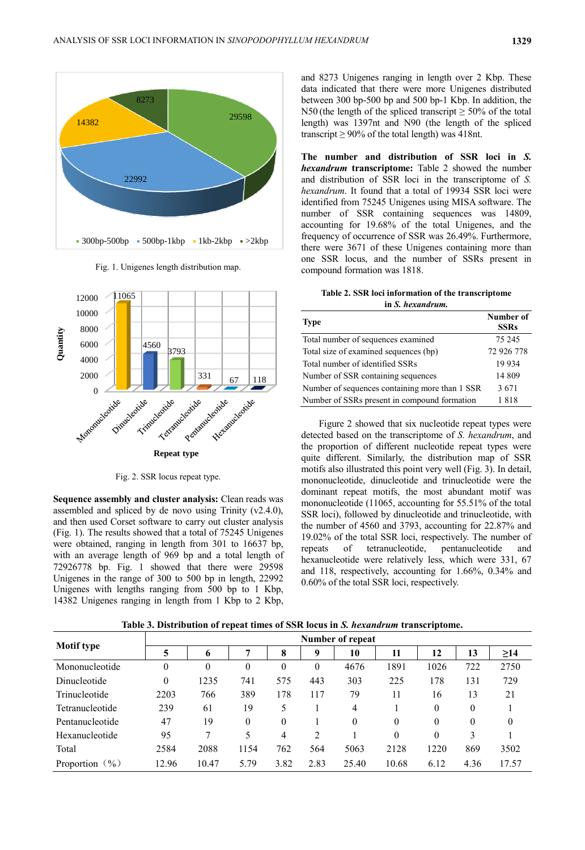

Fig. 1. Unigenes length distribution map.



Fig. 2. SSR locus repeat type.

**Sequence assembly and cluster analysis:** Clean reads was assembled and spliced by de novo using Trinity (v2.4.0), and then used Corset software to carry out cluster analysis (Fig. 1). The results showed that a total of 75245 Unigenes were obtained, ranging in length from 301 to 16637 bp, with an average length of 969 bp and a total length of 72926778 bp. Fig. 1 showed that there were 29598 Unigenes in the range of 300 to 500 bp in length, 22992 Unigenes with lengths ranging from 500 bp to 1 Kbp, 14382 Unigenes ranging in length from 1 Kbp to 2 Kbp,

and 8273 Unigenes ranging in length over 2 Kbp. These data indicated that there were more Unigenes distributed between 300 bp-500 bp and 500 bp-1 Kbp. In addition, the N50 (the length of the spliced transcript  $\geq$  50% of the total length) was 1397nt and N90 (the length of the spliced transcript  $\geq 90\%$  of the total length) was 418nt.

**The number and distribution of SSR loci in** *S. hexandrum* **transcriptome:** Table 2 showed the number and distribution of SSR loci in the transcriptome of *S. hexandrum*. It found that a total of 19934 SSR loci were identified from 75245 Unigenes using MISA software. The number of SSR containing sequences was 14809, accounting for 19.68% of the total Unigenes, and the frequency of occurrence of SSR was 26.49%. Furthermore, there were 3671 of these Unigenes containing more than one SSR locus, and the number of SSRs present in compound formation was 1818.

**Table 2. SSR loci information of the transcriptome in** *S. hexandrum.*

| <b>Type</b>                                    | Number of<br><b>SSRs</b> |
|------------------------------------------------|--------------------------|
| Total number of sequences examined             | 75 245                   |
| Total size of examined sequences (bp)          | 72 926 778               |
| Total number of identified SSRs                | 19 9 34                  |
| Number of SSR containing sequences             | 14 809                   |
| Number of sequences containing more than 1 SSR | 3671                     |
| Number of SSRs present in compound formation   | 1818                     |

Figure 2 showed that six nucleotide repeat types were detected based on the transcriptome of *S. hexandrum*, and the proportion of different nucleotide repeat types were quite different. Similarly, the distribution map of SSR motifs also illustrated this point very well (Fig. 3). In detail, mononucleotide, dinucleotide and trinucleotide were the dominant repeat motifs, the most abundant motif was mononucleotide (11065, accounting for 55.51% of the total SSR loci), followed by dinucleotide and trinucleotide, with the number of 4560 and 3793, accounting for 22.87% and 19.02% of the total SSR loci, respectively. The number of repeats of tetranucleotide, pentanucleotide and hexanucleotide were relatively less, which were 331, 67 and 118, respectively, accounting for 1.66%, 0.34% and 0.60% of the total SSR loci, respectively.

**Number of repeat**

**Table 3. Distribution of repeat times of SSR locus in** *S. hexandrum* **transcriptome.**

| Motif type        | Number of repeat |          |              |          |      |          |          |          |              |              |  |
|-------------------|------------------|----------|--------------|----------|------|----------|----------|----------|--------------|--------------|--|
|                   |                  | 6        | 7            | 8        | 9    | 10       | 11       | 12       | 13           | $\geq$ 14    |  |
| Mononucleotide    | 0                | $\theta$ | $\mathbf{0}$ | $\theta$ | 0    | 4676     | 1891     | 1026     | 722          | 2750         |  |
| Dinucleotide      | $\theta$         | 1235     | 741          | 575      | 443  | 303      | 225      | 178      | 131          | 729          |  |
| Trinucleotide     | 2203             | 766      | 389          | 178      | 117  | 79       | 11       | 16       | 13           | 21           |  |
| Tetranucleotide   | 239              | 61       | 19           |          |      | 4        |          | $\theta$ | $\mathbf{0}$ |              |  |
| Pentanucleotide   | 47               | 19       | 0            | $\theta$ |      | $\theta$ | $\theta$ | $\theta$ | $\theta$     | $\mathbf{0}$ |  |
| Hexanucleotide    | 95               |          | 5            | 4        | 2    |          | $\theta$ | $\theta$ | 3            |              |  |
| Total             | 2584             | 2088     | 1154         | 762      | 564  | 5063     | 2128     | 1220     | 869          | 3502         |  |
| Proportion $(\%)$ | 12.96            | 10.47    | 5.79         | 3.82     | 2.83 | 25.40    | 10.68    | 6.12     | 4.36         | 17.57        |  |
|                   |                  |          |              |          |      |          |          |          |              |              |  |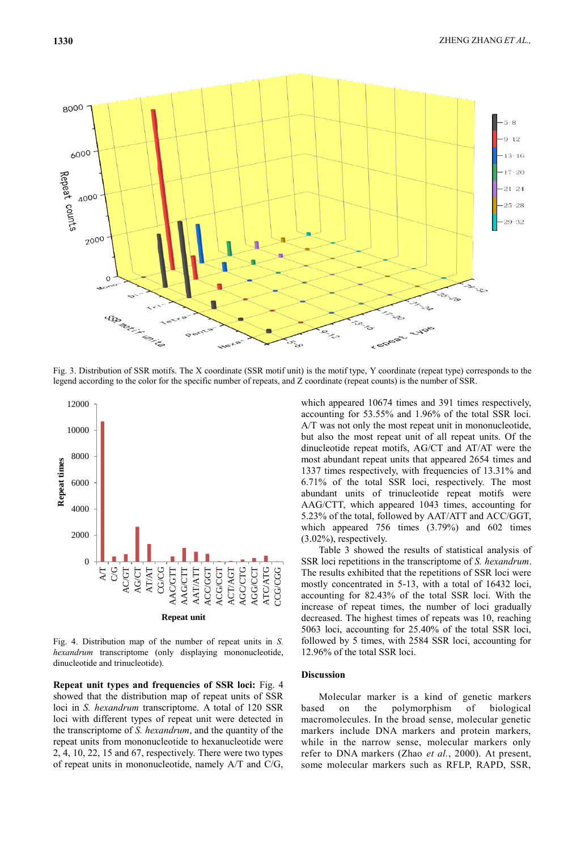

Fig. 3. Distribution of SSR motifs. The X coordinate (SSR motif unit) is the motif type, Y coordinate (repeat type) corresponds to the legend according to the color for the specific number of repeats, and Z coordinate (repeat counts) is the number of SSR.



Fig. 4. Distribution map of the number of repeat units in *S. hexandrum* transcriptome (only displaying mononucleotide, dinucleotide and trinucleotide).

**Repeat unit types and frequencies of SSR loci:** Fig. 4 showed that the distribution map of repeat units of SSR loci in *S. hexandrum* transcriptome. A total of 120 SSR loci with different types of repeat unit were detected in the transcriptome of *S. hexandrum*, and the quantity of the repeat units from mononucleotide to hexanucleotide were 2, 4, 10, 22, 15 and 67, respectively. There were two types of repeat units in mononucleotide, namely A/T and C/G, which appeared 10674 times and 391 times respectively, accounting for 53.55% and 1.96% of the total SSR loci. A/T was not only the most repeat unit in mononucleotide, but also the most repeat unit of all repeat units. Of the dinucleotide repeat motifs, AG/CT and AT/AT were the most abundant repeat units that appeared 2654 times and 1337 times respectively, with frequencies of 13.31% and 6.71% of the total SSR loci, respectively. The most abundant units of trinucleotide repeat motifs were AAG/CTT, which appeared 1043 times, accounting for 5.23% of the total, followed by AAT/ATT and ACC/GGT, which appeared 756 times (3.79%) and 602 times (3.02%), respectively.

Table 3 showed the results of statistical analysis of SSR loci repetitions in the transcriptome of *S. hexandrum*. The results exhibited that the repetitions of SSR loci were mostly concentrated in 5-13, with a total of 16432 loci, accounting for 82.43% of the total SSR loci. With the increase of repeat times, the number of loci gradually decreased. The highest times of repeats was 10, reaching 5063 loci, accounting for 25.40% of the total SSR loci, followed by 5 times, with 2584 SSR loci, accounting for 12.96% of the total SSR loci.

## **Discussion**

Molecular marker is a kind of genetic markers based on the polymorphism of biological macromolecules. In the broad sense, molecular genetic markers include DNA markers and protein markers, while in the narrow sense, molecular markers only refer to DNA markers (Zhao *et al.*, 2000). At present, some molecular markers such as RFLP, RAPD, SSR,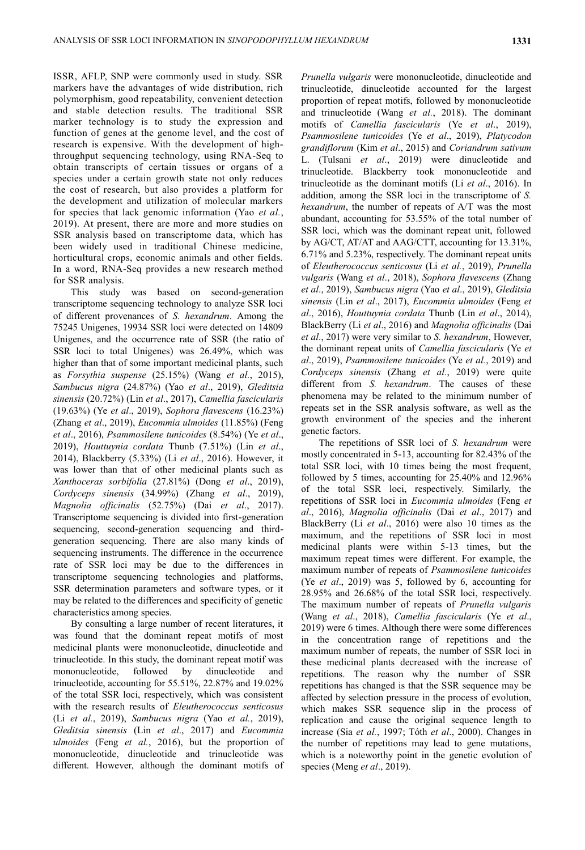ISSR, AFLP, SNP were commonly used in study. SSR markers have the advantages of wide distribution, rich polymorphism, good repeatability, convenient detection and stable detection results. The traditional SSR marker technology is to study the expression and function of genes at the genome level, and the cost of research is expensive. With the development of highthroughput sequencing technology, using RNA-Seq to obtain transcripts of certain tissues or organs of a species under a certain growth state not only reduces the cost of research, but also provides a platform for the development and utilization of molecular markers for species that lack genomic information (Yao *et al.*, 2019). At present, there are more and more studies on SSR analysis based on transcriptome data, which has been widely used in traditional Chinese medicine, horticultural crops, economic animals and other fields. In a word, RNA-Seq provides a new research method

for SSR analysis. This study was based on second-generation transcriptome sequencing technology to analyze SSR loci of different provenances of *S. hexandrum*. Among the 75245 Unigenes, 19934 SSR loci were detected on 14809 Unigenes, and the occurrence rate of SSR (the ratio of SSR loci to total Unigenes) was 26.49%, which was higher than that of some important medicinal plants, such as *Forsythia suspense* (25.15%) (Wang *et al.*, 2015), *Sambucus nigra* (24.87%) (Yao *et al*., 2019), *Gleditsia sinensis* (20.72%) (Lin *et al*., 2017), *Camellia fascicularis*  (19.63%) (Ye *et al*., 2019), *Sophora flavescens* (16.23%) (Zhang *et al*., 2019), *Eucommia ulmoides* (11.85%) (Feng *et al*., 2016), *Psammosilene tunicoides* (8.54%) (Ye *et al*., 2019), *Houttuynia cordata* Thunb (7.51%) (Lin *et al*., 2014), Blackberry (5.33%) (Li *et al*., 2016). However, it was lower than that of other medicinal plants such as *Xanthoceras sorbifolia* (27.81%) (Dong *et al*., 2019), *Cordyceps sinensis* (34.99%) (Zhang *et al*., 2019), *Magnolia officinalis* (52.75%) (Dai *et al*., 2017). Transcriptome sequencing is divided into first-generation sequencing, second-generation sequencing and thirdgeneration sequencing. There are also many kinds of sequencing instruments. The difference in the occurrence rate of SSR loci may be due to the differences in transcriptome sequencing technologies and platforms, SSR determination parameters and software types, or it may be related to the differences and specificity of genetic characteristics among species.

By consulting a large number of recent literatures, it was found that the dominant repeat motifs of most medicinal plants were mononucleotide, dinucleotide and trinucleotide. In this study, the dominant repeat motif was mononucleotide, followed by dinucleotide and trinucleotide, accounting for 55.51%, 22.87% and 19.02% of the total SSR loci, respectively, which was consistent with the research results of *Eleutherococcus senticosus* (Li *et al.*, 2019), *Sambucus nigra* (Yao *et al.*, 2019), *Gleditsia sinensis* (Lin *et al*., 2017) and *Eucommia ulmoides* (Feng *et al.*, 2016), but the proportion of mononucleotide, dinucleotide and trinucleotide was different. However, although the dominant motifs of

*Prunella vulgaris* were mononucleotide, dinucleotide and trinucleotide, dinucleotide accounted for the largest proportion of repeat motifs, followed by mononucleotide and trinucleotide (Wang *et al.*, 2018). The dominant motifs of *Camellia fascicularis* (Ye *et al*., 2019), *Psammosilene tunicoides* (Ye *et al*., 2019), *Platycodon grandiflorum* (Kim *et al*., 2015) and *Coriandrum sativum* L. (Tulsani *et al*., 2019) were dinucleotide and trinucleotide. Blackberry took mononucleotide and trinucleotide as the dominant motifs (Li *et al*., 2016). In addition, among the SSR loci in the transcriptome of *S. hexandrum*, the number of repeats of A/T was the most abundant, accounting for 53.55% of the total number of SSR loci, which was the dominant repeat unit, followed by AG/CT, AT/AT and AAG/CTT, accounting for 13.31%, 6.71% and 5.23%, respectively. The dominant repeat units of *Eleutherococcus senticosus* (Li *et al.*, 2019), *Prunella vulgaris* (Wang *et al*., 2018), *Sophora flavescens* (Zhang *et al*., 2019), *Sambucus nigra* (Yao *et al*., 2019), *Gleditsia sinensis* (Lin *et al*., 2017), *Eucommia ulmoides* (Feng *et al*., 2016), *Houttuynia cordata* Thunb (Lin *et al*., 2014), BlackBerry (Li *et al*., 2016) and *Magnolia officinalis* (Dai *et al*., 2017) were very similar to *S. hexandrum*, However, the dominant repeat units of *Camellia fascicularis* (Ye *et al*., 2019), *Psammosilene tunicoides* (Ye *et al.*, 2019) and *Cordyceps sinensis* (Zhang *et al.*, 2019) were quite different from *S. hexandrum*. The causes of these phenomena may be related to the minimum number of repeats set in the SSR analysis software, as well as the growth environment of the species and the inherent genetic factors.

The repetitions of SSR loci of *S. hexandrum* were mostly concentrated in 5-13, accounting for 82.43% of the total SSR loci, with 10 times being the most frequent, followed by 5 times, accounting for 25.40% and 12.96% of the total SSR loci, respectively. Similarly, the repetitions of SSR loci in *Eucommia ulmoides* (Feng *et al*., 2016), *Magnolia officinalis* (Dai *et al*., 2017) and BlackBerry (Li *et al*., 2016) were also 10 times as the maximum, and the repetitions of SSR loci in most medicinal plants were within 5-13 times, but the maximum repeat times were different. For example, the maximum number of repeats of *Psammosilene tunicoides* (Ye *et al*., 2019) was 5, followed by 6, accounting for 28.95% and 26.68% of the total SSR loci, respectively. The maximum number of repeats of *Prunella vulgaris* (Wang *et al*., 2018), *Camellia fascicularis* (Ye *et al*., 2019) were 6 times. Although there were some differences in the concentration range of repetitions and the maximum number of repeats, the number of SSR loci in these medicinal plants decreased with the increase of repetitions. The reason why the number of SSR repetitions has changed is that the SSR sequence may be affected by selection pressure in the process of evolution, which makes SSR sequence slip in the process of replication and cause the original sequence length to increase (Sia *et al.*, 1997; Tóth *et al*., 2000). Changes in the number of repetitions may lead to gene mutations, which is a noteworthy point in the genetic evolution of species (Meng *et al*., 2019).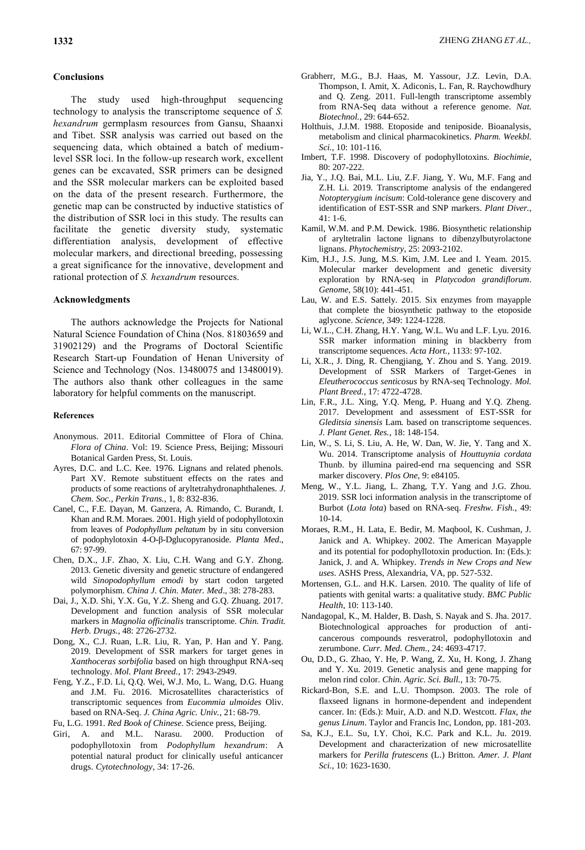### **Conclusions**

The study used high-throughput sequencing technology to analysis the transcriptome sequence of *S. hexandrum* germplasm resources from Gansu, Shaanxi and Tibet. SSR analysis was carried out based on the sequencing data, which obtained a batch of mediumlevel SSR loci. In the follow-up research work, excellent genes can be excavated, SSR primers can be designed and the SSR molecular markers can be exploited based on the data of the present research. Furthermore, the genetic map can be constructed by inductive statistics of the distribution of SSR loci in this study. The results can facilitate the genetic diversity study, systematic differentiation analysis, development of effective molecular markers, and directional breeding, possessing a great significance for the innovative, development and rational protection of *S. hexandrum* resources.

#### **Acknowledgments**

The authors acknowledge the Projects for National Natural Science Foundation of China (Nos. 81803659 and 31902129) and the Programs of Doctoral Scientific Research Start-up Foundation of Henan University of Science and Technology (Nos. 13480075 and 13480019). The authors also thank other colleagues in the same laboratory for helpful comments on the manuscript.

#### **References**

- Anonymous. 2011. Editorial Committee of Flora of China. *Flora of China*. Vol: 19. Science Press, Beijing; Missouri Botanical Garden Press, St. Louis.
- Ayres, D.C. and L.C. Kee. 1976. Lignans and related phenols. Part XV. Remote substituent effects on the rates and products of some reactions of aryltetrahydronaphthalenes. *J. Chem. Soc., Perkin Trans.*, 1, 8: 832-836.
- Canel, C., F.E. Dayan, M. Ganzera, A. Rimando, C. Burandt, I. Khan and R.M. Moraes. 2001. High yield of podophyllotoxin from leaves of *Podophyllum peltatum* by in situ conversion of podophylotoxin 4-O-β-Dglucopyranoside. *Planta Med*., 67: 97-99.
- Chen, D.X., J.F. Zhao, X. Liu, C.H. Wang and G.Y. Zhong. 2013. Genetic diversity and genetic structure of endangered wild *Sinopodophyllum emodi* by start codon targeted polymorphism. *China J. Chin. Mater. Med*., 38: 278-283.
- Dai, J., X.D. Shi, Y.X. Gu, Y.Z. Sheng and G.Q. Zhuang. 2017. Development and function analysis of SSR molecular markers in *Magnolia officinalis* transcriptome. *Chin. Tradit. Herb. Drugs.*, 48: 2726-2732.
- Dong, X., C.J. Ruan, L.R. Liu, R. Yan, P. Han and Y. Pang. 2019. Development of SSR markers for target genes in *Xanthoceras sorbifolia* based on high throughput RNA-seq technology. *Mol. Plant Breed.*, 17: 2943-2949.
- Feng, Y.Z., F.D. Li, Q.Q. Wei, W.J. Mo, L. Wang, D.G. Huang and J.M. Fu. 2016. Microsatellites characteristics of transcriptomic sequences from *Eucommia ulmoides* Oliv. based on RNA-Seq. *J. China Agric. Univ.*, 21: 68-79.
- Fu, L.G. 1991. *Red Book of Chinese*. Science press, Beijing. Giri, A. and M.L. Narasu. 2000. Production of podophyllotoxin from *Podophyllum hexandrum*: A potential natural product for clinically useful anticancer drugs. *Cytotechnology*, 34: 17-26.
- Grabherr, M.G., B.J. Haas, M. Yassour, J.Z. Levin, D.A. Thompson, I. Amit, X. Adiconis, L. Fan, R. Raychowdhury and Q. Zeng. 2011. Full-length transcriptome assembly from RNA-Seq data without a reference genome. *Nat. Biotechnol.*, 29: 644-652.
- Holthuis, J.J.M. 1988. Etoposide and teniposide. Bioanalysis, metabolism and clinical pharmacokinetics. *Pharm. Weekbl. Sci.*, 10: 101-116.
- Imbert, T.F. 1998. Discovery of podophyllotoxins. *Biochimie*, 80: 207-222.
- Jia, Y., J.Q. Bai, M.L. Liu, Z.F. Jiang, Y. Wu, M.F. Fang and Z.H. Li. 2019. Transcriptome analysis of the endangered *Notopterygium incisum*: Cold-tolerance gene discovery and identification of EST-SSR and SNP markers. *Plant Diver.*, 41: 1-6.
- Kamil, W.M. and P.M. Dewick. 1986. Biosynthetic relationship of aryltetralin lactone lignans to dibenzylbutyrolactone lignans. *Phytochemistry*, 25: 2093-2102.
- Kim, H.J., J.S. Jung, M.S. Kim, J.M. Lee and I. Yeam. 2015. Molecular marker development and genetic diversity exploration by RNA-seq in *Platycodon grandiflorum*. *Genome*, 58(10): 441-451.
- Lau, W. and E.S. Sattely. 2015. Six enzymes from mayapple that complete the biosynthetic pathway to the etoposide aglycone. *Science*, 349: 1224-1228.
- Li, W.L., C.H. Zhang, H.Y. Yang, W.L. Wu and L.F. Lyu. 2016. SSR marker information mining in blackberry from transcriptome sequences. *Acta Hort.,* 1133: 97-102.
- Li, X.R., J. Ding, R. Chengjiang, Y. Zhou and S. Yang. 2019. Development of SSR Markers of Target-Genes in *Eleutherococcus senticosus* by RNA-seq Technology. *Mol. Plant Breed.*, 17: 4722-4728.
- Lin, F.R., J.L. Xing, Y.Q. Meng, P. Huang and Y.Q. Zheng. 2017. Development and assessment of EST-SSR for *Gleditsia sinensis* Lam*.* based on transcriptome sequences. *J. Plant Genet. Res.*, 18: 148-154.
- Lin, W., S. Li, S. Liu, A. He, W. Dan, W. Jie, Y. Tang and X. Wu. 2014. Transcriptome analysis of *Houttuynia cordata*  Thunb. by illumina paired-end rna sequencing and SSR marker discovery. *Plos One*, 9: e84105.
- Meng, W., Y.L. Jiang, L. Zhang, T.Y. Yang and J.G. Zhou. 2019. SSR loci information analysis in the transcriptome of Burbot (*Lota lota*) based on RNA-seq. *Freshw. Fish.*, 49: 10-14.
- Moraes, R.M., H. Lata, E. Bedir, M. Maqbool, K. Cushman, J. Janick and A. Whipkey. 2002. The American Mayapple and its potential for podophyllotoxin production. In: (Eds.): Janick, J. and A*.* Whipkey. *Trends in New Crops and New uses*. ASHS Press, Alexandria, VA, pp. 527-532.
- Mortensen, G.L. and H.K. Larsen. 2010. The quality of life of patients with genital warts: a qualitative study. *BMC Public Health*, 10: 113-140.
- Nandagopal, K., M. Halder, B. Dash, S. Nayak and S. Jha. 2017. Biotechnological approaches for production of anticancerous compounds resveratrol, podophyllotoxin and zerumbone. *Curr. Med. Chem.*, 24: 4693-4717.
- Ou, D.D., G. Zhao, Y. He, P. Wang, Z. Xu, H. Kong, J. Zhang and Y. Xu. 2019. Genetic analysis and gene mapping for melon rind color. *Chin. Agric. Sci. Bull.*, 13: 70-75.
- Rickard-Bon, S.E. and L.U. Thompson. 2003. The role of flaxseed lignans in hormone-dependent and independent cancer. In: (Eds.): Muir, A.D. and N.D. Westcott. *Flax, the genus Linum*. Taylor and Francis Inc, London, pp. 181-203.
- Sa, K.J., E.L. Su, I.Y. Choi, K.C. Park and K.L. Ju. 2019. Development and characterization of new microsatellite markers for *Perilla frutescens* (L.) Britton. *Amer. J. Plant Sci.*, 10: 1623-1630.